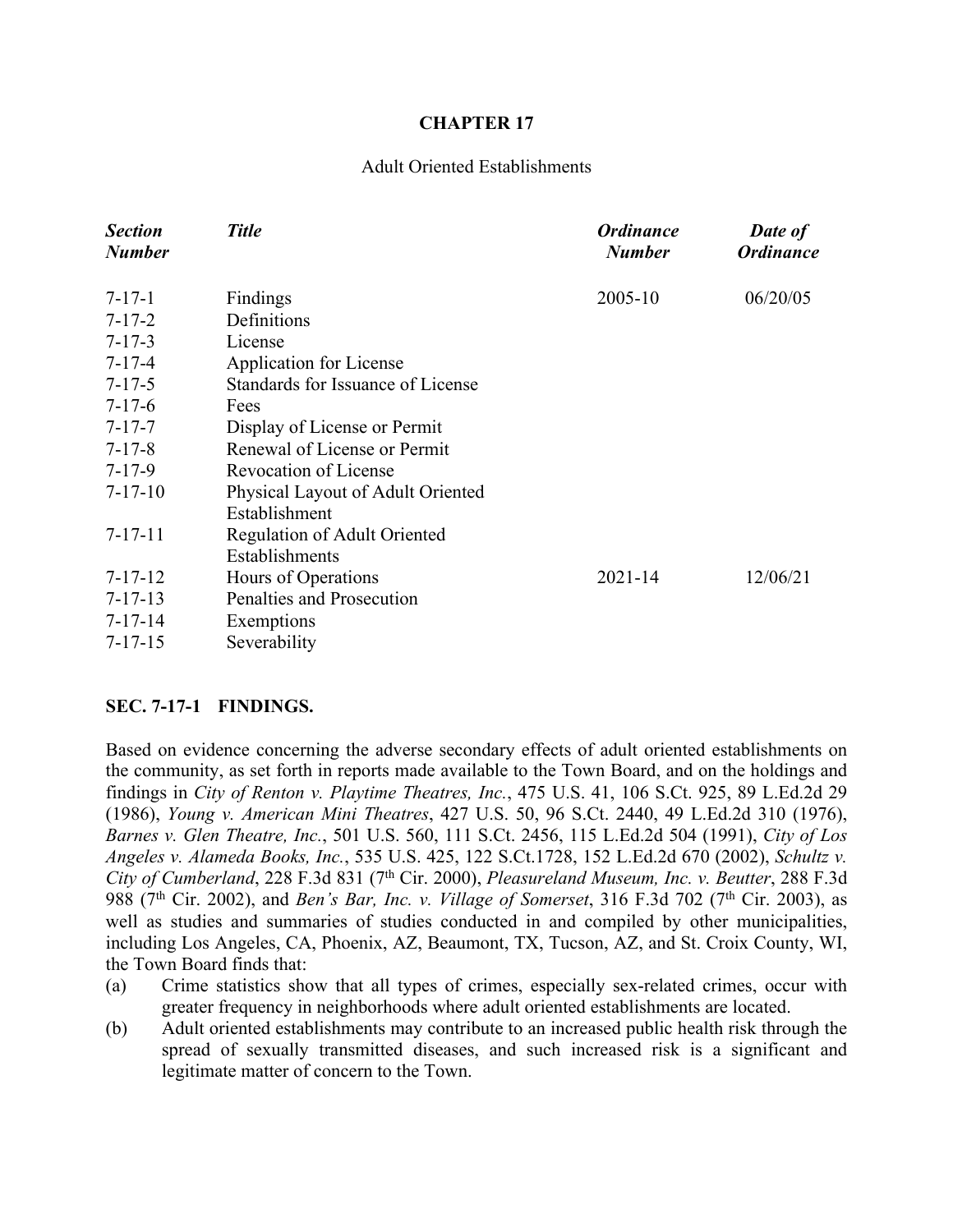#### **CHAPTER 17**

#### Adult Oriented Establishments

| <b>Section</b><br><b>Number</b> | <b>Title</b>                      | <b>Ordinance</b><br><b>Number</b> | <b>Date of</b><br><b>Ordinance</b> |
|---------------------------------|-----------------------------------|-----------------------------------|------------------------------------|
| $7 - 17 - 1$                    | Findings                          | 2005-10                           | 06/20/05                           |
| $7 - 17 - 2$                    | Definitions                       |                                   |                                    |
| $7 - 17 - 3$                    | License                           |                                   |                                    |
| $7 - 17 - 4$                    | <b>Application for License</b>    |                                   |                                    |
| $7 - 17 - 5$                    | Standards for Issuance of License |                                   |                                    |
| $7 - 17 - 6$                    | Fees                              |                                   |                                    |
| $7 - 17 - 7$                    | Display of License or Permit      |                                   |                                    |
| $7 - 17 - 8$                    | Renewal of License or Permit      |                                   |                                    |
| $7 - 17 - 9$                    | <b>Revocation of License</b>      |                                   |                                    |
| $7 - 17 - 10$                   | Physical Layout of Adult Oriented |                                   |                                    |
|                                 | Establishment                     |                                   |                                    |
| $7 - 17 - 11$                   | Regulation of Adult Oriented      |                                   |                                    |
|                                 | Establishments                    |                                   |                                    |
| $7 - 17 - 12$                   | Hours of Operations               | $2021 - 14$                       | 12/06/21                           |
| $7 - 17 - 13$                   | Penalties and Prosecution         |                                   |                                    |
| $7 - 17 - 14$                   | Exemptions                        |                                   |                                    |
| $7 - 17 - 15$                   | Severability                      |                                   |                                    |

#### **SEC. 7-17-1 FINDINGS.**

Based on evidence concerning the adverse secondary effects of adult oriented establishments on the community, as set forth in reports made available to the Town Board, and on the holdings and findings in *City of Renton v. Playtime Theatres, Inc.*, 475 U.S. 41, 106 S.Ct. 925, 89 L.Ed.2d 29 (1986), *Young v. American Mini Theatres*, 427 U.S. 50, 96 S.Ct. 2440, 49 L.Ed.2d 310 (1976), *Barnes v. Glen Theatre, Inc.*, 501 U.S. 560, 111 S.Ct. 2456, 115 L.Ed.2d 504 (1991), *City of Los Angeles v. Alameda Books, Inc.*, 535 U.S. 425, 122 S.Ct.1728, 152 L.Ed.2d 670 (2002), *Schultz v. City of Cumberland*, 228 F.3d 831 (7th Cir. 2000), *Pleasureland Museum, Inc. v. Beutter*, 288 F.3d 988 (7th Cir. 2002), and *Ben's Bar, Inc. v. Village of Somerset*, 316 F.3d 702 (7th Cir. 2003), as well as studies and summaries of studies conducted in and compiled by other municipalities, including Los Angeles, CA, Phoenix, AZ, Beaumont, TX, Tucson, AZ, and St. Croix County, WI, the Town Board finds that:

- (a) Crime statistics show that all types of crimes, especially sex-related crimes, occur with greater frequency in neighborhoods where adult oriented establishments are located.
- (b) Adult oriented establishments may contribute to an increased public health risk through the spread of sexually transmitted diseases, and such increased risk is a significant and legitimate matter of concern to the Town.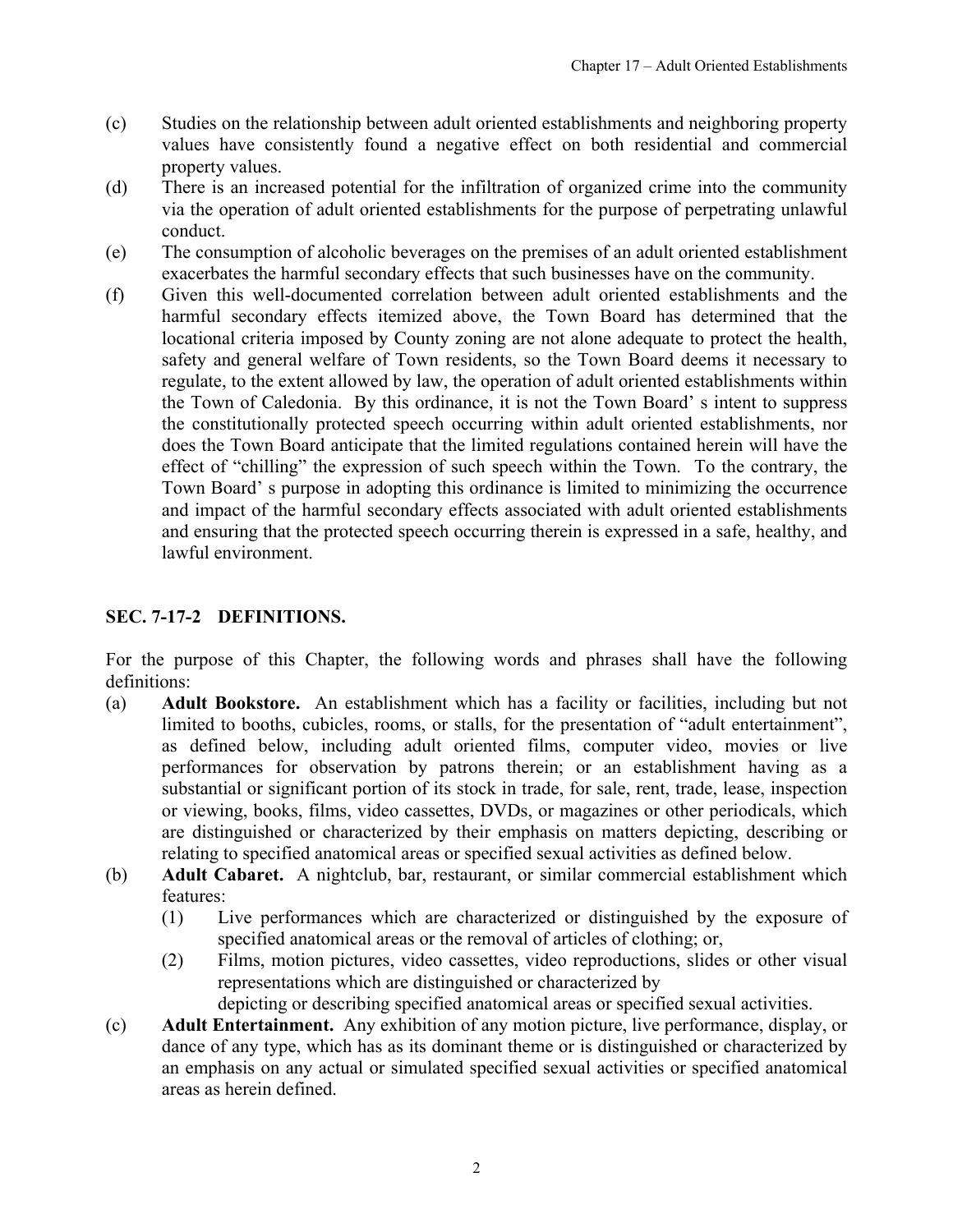- <span id="page-1-0"></span>(c) Studies on the relationship between adult oriented establishments and neighboring property values have consistently found a negative effect on both residential and commercial property values.
- (d) There is an increased potential for the infiltration of organized crime into the community via the operation of adult oriented establishments for the purpose of perpetrating unlawful conduct.
- (e) The consumption of alcoholic beverages on the premises of an adult oriented establishment exacerbates the harmful secondary effects that such businesses have on the community.
- (f) Given this well-documented correlation between adult oriented establishments and the harmful secondary effects itemized above, the Town Board has determined that the locational criteria imposed by County zoning are not alone adequate to protect the health, safety and general welfare of Town residents, so the Town Board deems it necessary to regulate, to the extent allowed by law, the operation of adult oriented establishments within the Town of Caledonia. By this ordinance, it is not the Town Board' s intent to suppress the constitutionally protected speech occurring within adult oriented establishments, nor does the Town Board anticipate that the limited regulations contained herein will have the effect of "chilling" the expression of such speech within the Town. To the contrary, the Town Board' s purpose in adopting this ordinance is limited to minimizing the occurrence and impact of the harmful secondary effects associated with adult oriented establishments and ensuring that the protected speech occurring therein is expressed in a safe, healthy, and lawful environment.

### **SEC. 7-17-2 DEFINITIONS.**

For the purpose of this Chapter, the following words and phrases shall have the following definitions:

- (a) **Adult Bookstore.** An establishment which has a facility or facilities, including but not limited to booths, cubicles, rooms, or stalls, for the presentation of "adult entertainment", as defined below, including adult oriented films, computer video, movies or live performances for observation by patrons therein; or an establishment having as a substantial or significant portion of its stock in trade, for sale, rent, trade, lease, inspection or viewing, books, films, video cassettes, DVDs, or magazines or other periodicals, which are distinguished or characterized by their emphasis on matters depicting, describing or relating to specified anatomical areas or specified sexual activities as defined below.
- (b) **Adult Cabaret.** A nightclub, bar, restaurant, or similar commercial establishment which features:
	- (1) Live performances which are characterized or distinguished by the exposure of specified anatomical areas or the removal of articles of clothing; or,
	- (2) Films, motion pictures, video cassettes, video reproductions, slides or other visual representations which are distinguished or characterized by

depicting or describing specified anatomical areas or specified sexual activities.

(c) **Adult Entertainment.** Any exhibition of any motion picture, live performance, display, or dance of any type, which has as its dominant theme or is distinguished or characterized by an emphasis on any actual or simulated specified sexual activities or specified anatomical areas as herein defined.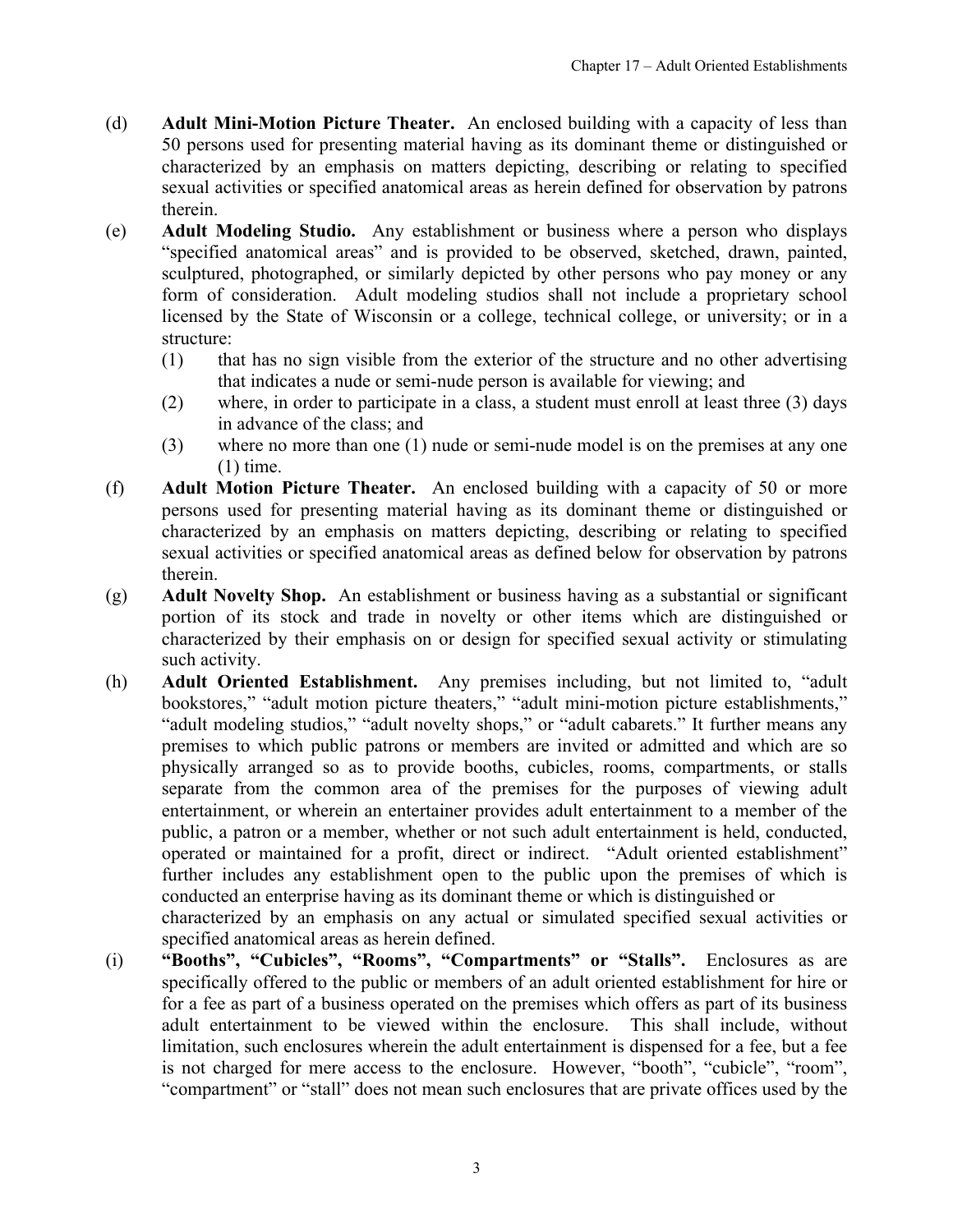- (d) **Adult Mini-Motion Picture Theater.** An enclosed building with a capacity of less than 50 persons used for presenting material having as its dominant theme or distinguished or characterized by an emphasis on matters depicting, describing or relating to specified sexual activities or specified anatomical areas as herein defined for observation by patrons therein.
- (e) **Adult Modeling Studio.** Any establishment or business where a person who displays "specified anatomical areas" and is provided to be observed, sketched, drawn, painted, sculptured, photographed, or similarly depicted by other persons who pay money or any form of consideration. Adult modeling studios shall not include a proprietary school licensed by the State of Wisconsin or a college, technical college, or university; or in a structure:
	- (1) that has no sign visible from the exterior of the structure and no other advertising that indicates a nude or semi-nude person is available for viewing; and
	- (2) where, in order to participate in a class, a student must enroll at least three (3) days in advance of the class; and
	- (3) where no more than one (1) nude or semi-nude model is on the premises at any one (1) time.
- (f) **Adult Motion Picture Theater.** An enclosed building with a capacity of 50 or more persons used for presenting material having as its dominant theme or distinguished or characterized by an emphasis on matters depicting, describing or relating to specified sexual activities or specified anatomical areas as defined below for observation by patrons therein.
- (g) **Adult Novelty Shop.** An establishment or business having as a substantial or significant portion of its stock and trade in novelty or other items which are distinguished or characterized by their emphasis on or design for specified sexual activity or stimulating such activity.
- (h) **Adult Oriented Establishment.** Any premises including, but not limited to, "adult bookstores," "adult motion picture theaters," "adult mini-motion picture establishments," "adult modeling studios," "adult novelty shops," or "adult cabarets." It further means any premises to which public patrons or members are invited or admitted and which are so physically arranged so as to provide booths, cubicles, rooms, compartments, or stalls separate from the common area of the premises for the purposes of viewing adult entertainment, or wherein an entertainer provides adult entertainment to a member of the public, a patron or a member, whether or not such adult entertainment is held, conducted, operated or maintained for a profit, direct or indirect. "Adult oriented establishment" further includes any establishment open to the public upon the premises of which is conducted an enterprise having as its dominant theme or which is distinguished or characterized by an emphasis on any actual or simulated specified sexual activities or

specified anatomical areas as herein defined.

(i) **"Booths", "Cubicles", "Rooms", "Compartments" or "Stalls".** Enclosures as are specifically offered to the public or members of an adult oriented establishment for hire or for a fee as part of a business operated on the premises which offers as part of its business adult entertainment to be viewed within the enclosure. This shall include, without limitation, such enclosures wherein the adult entertainment is dispensed for a fee, but a fee is not charged for mere access to the enclosure. However, "booth", "cubicle", "room", "compartment" or "stall" does not mean such enclosures that are private offices used by the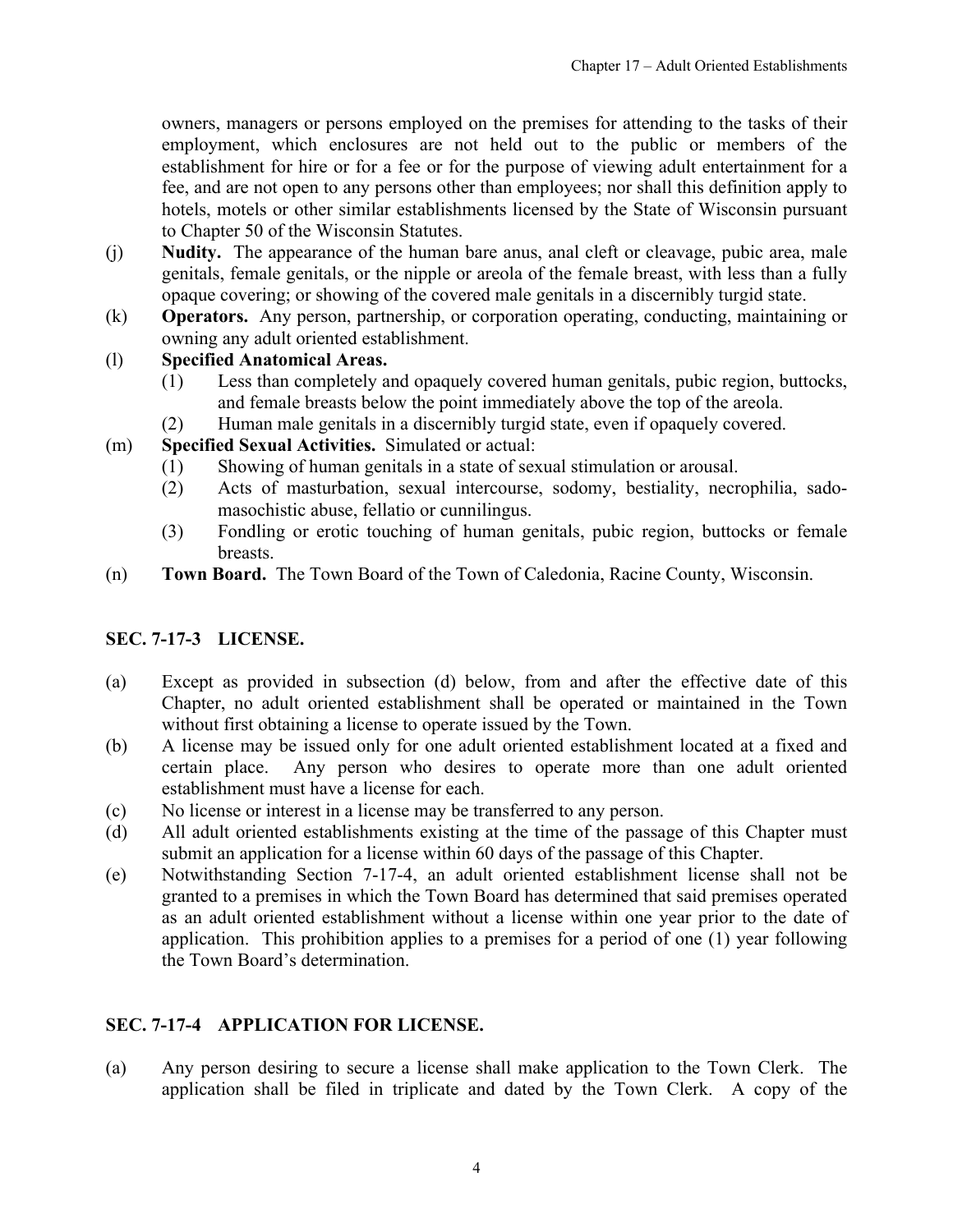<span id="page-3-0"></span>owners, managers or persons employed on the premises for attending to the tasks of their employment, which enclosures are not held out to the public or members of the establishment for hire or for a fee or for the purpose of viewing adult entertainment for a fee, and are not open to any persons other than employees; nor shall this definition apply to hotels, motels or other similar establishments licensed by the State of Wisconsin pursuant to Chapter 50 of the Wisconsin Statutes.

- (j) **Nudity.** The appearance of the human bare anus, anal cleft or cleavage, pubic area, male genitals, female genitals, or the nipple or areola of the female breast, with less than a fully opaque covering; or showing of the covered male genitals in a discernibly turgid state.
- (k) **Operators.** Any person, partnership, or corporation operating, conducting, maintaining or owning any adult oriented establishment.

### (l) **Specified Anatomical Areas.**

- (1) Less than completely and opaquely covered human genitals, pubic region, buttocks, and female breasts below the point immediately above the top of the areola.
- (2) Human male genitals in a discernibly turgid state, even if opaquely covered.
- (m) **Specified Sexual Activities.** Simulated or actual:
	- (1) Showing of human genitals in a state of sexual stimulation or arousal.
	- (2) Acts of masturbation, sexual intercourse, sodomy, bestiality, necrophilia, sadomasochistic abuse, fellatio or cunnilingus.
	- (3) Fondling or erotic touching of human genitals, pubic region, buttocks or female breasts.
- (n) **Town Board.** The Town Board of the Town of Caledonia, Racine County, Wisconsin.

### **SEC. 7-17-3 LICENSE.**

- (a) Except as provided in subsection (d) below, from and after the effective date of this Chapter, no adult oriented establishment shall be operated or maintained in the Town without first obtaining a license to operate issued by the Town.
- (b) A license may be issued only for one adult oriented establishment located at a fixed and certain place. Any person who desires to operate more than one adult oriented establishment must have a license for each.
- (c) No license or interest in a license may be transferred to any person.
- (d) All adult oriented establishments existing at the time of the passage of this Chapter must submit an application for a license within 60 days of the passage of this Chapter.
- (e) Notwithstanding Section 7-17-4, an adult oriented establishment license shall not be granted to a premises in which the Town Board has determined that said premises operated as an adult oriented establishment without a license within one year prior to the date of application. This prohibition applies to a premises for a period of one (1) year following the Town Board's determination.

### **SEC. 7-17-4 APPLICATION FOR LICENSE.**

(a) Any person desiring to secure a license shall make application to the Town Clerk. The application shall be filed in triplicate and dated by the Town Clerk. A copy of the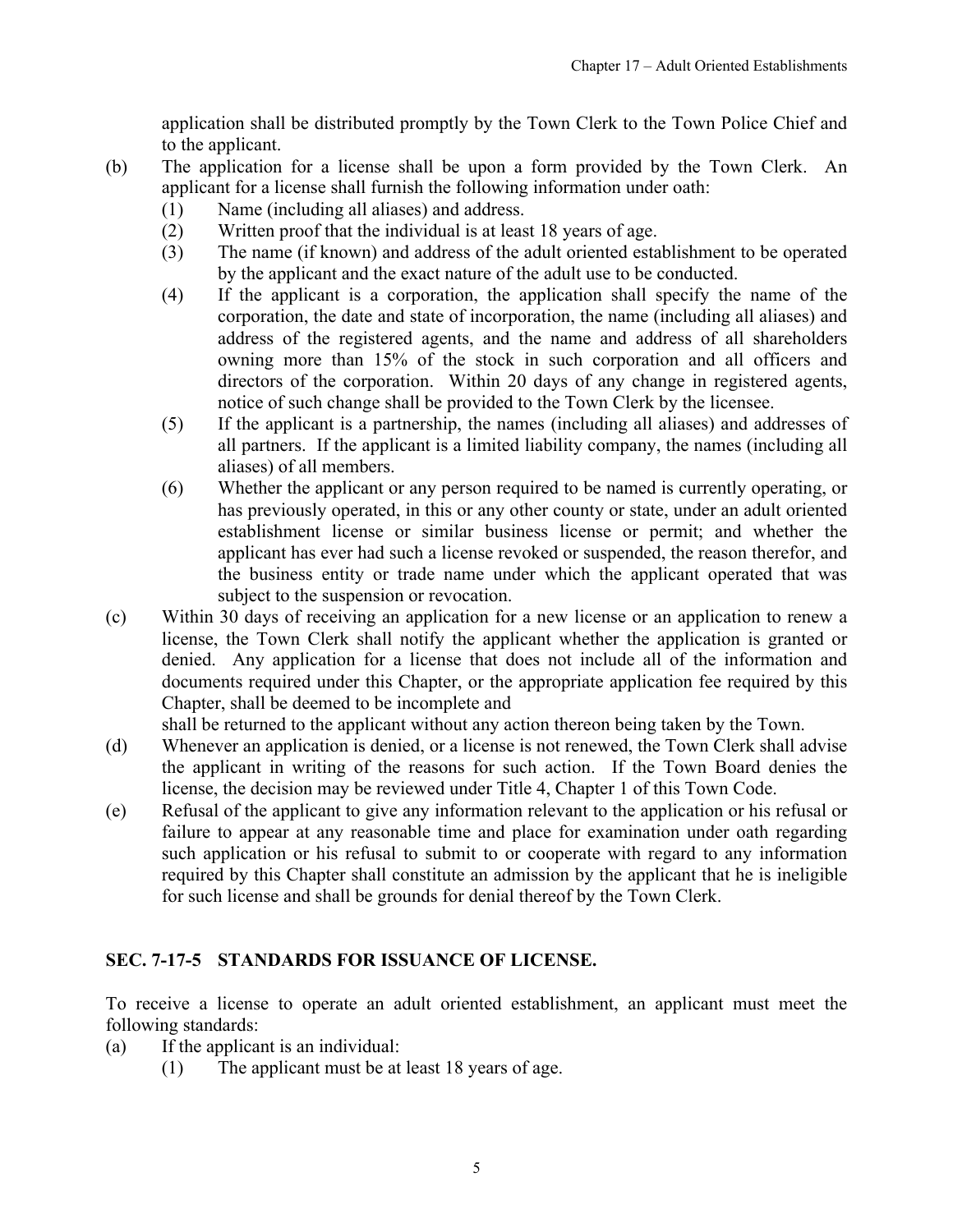application shall be distributed promptly by the Town Clerk to the Town Police Chief and to the applicant.

- <span id="page-4-0"></span>(b) The application for a license shall be upon a form provided by the Town Clerk. An applicant for a license shall furnish the following information under oath:
	- (1) Name (including all aliases) and address.
	- (2) Written proof that the individual is at least 18 years of age.
	- (3) The name (if known) and address of the adult oriented establishment to be operated by the applicant and the exact nature of the adult use to be conducted.
	- (4) If the applicant is a corporation, the application shall specify the name of the corporation, the date and state of incorporation, the name (including all aliases) and address of the registered agents, and the name and address of all shareholders owning more than 15% of the stock in such corporation and all officers and directors of the corporation. Within 20 days of any change in registered agents, notice of such change shall be provided to the Town Clerk by the licensee.
	- (5) If the applicant is a partnership, the names (including all aliases) and addresses of all partners. If the applicant is a limited liability company, the names (including all aliases) of all members.
	- (6) Whether the applicant or any person required to be named is currently operating, or has previously operated, in this or any other county or state, under an adult oriented establishment license or similar business license or permit; and whether the applicant has ever had such a license revoked or suspended, the reason therefor, and the business entity or trade name under which the applicant operated that was subject to the suspension or revocation.
- (c) Within 30 days of receiving an application for a new license or an application to renew a license, the Town Clerk shall notify the applicant whether the application is granted or denied. Any application for a license that does not include all of the information and documents required under this Chapter, or the appropriate application fee required by this Chapter, shall be deemed to be incomplete and

shall be returned to the applicant without any action thereon being taken by the Town.

- (d) Whenever an application is denied, or a license is not renewed, the Town Clerk shall advise the applicant in writing of the reasons for such action. If the Town Board denies the license, the decision may be reviewed under Title 4, Chapter 1 of this Town Code.
- (e) Refusal of the applicant to give any information relevant to the application or his refusal or failure to appear at any reasonable time and place for examination under oath regarding such application or his refusal to submit to or cooperate with regard to any information required by this Chapter shall constitute an admission by the applicant that he is ineligible for such license and shall be grounds for denial thereof by the Town Clerk.

### **SEC. 7-17-5 STANDARDS FOR ISSUANCE OF LICENSE.**

To receive a license to operate an adult oriented establishment, an applicant must meet the following standards:

- (a) If the applicant is an individual:
	- (1) The applicant must be at least 18 years of age.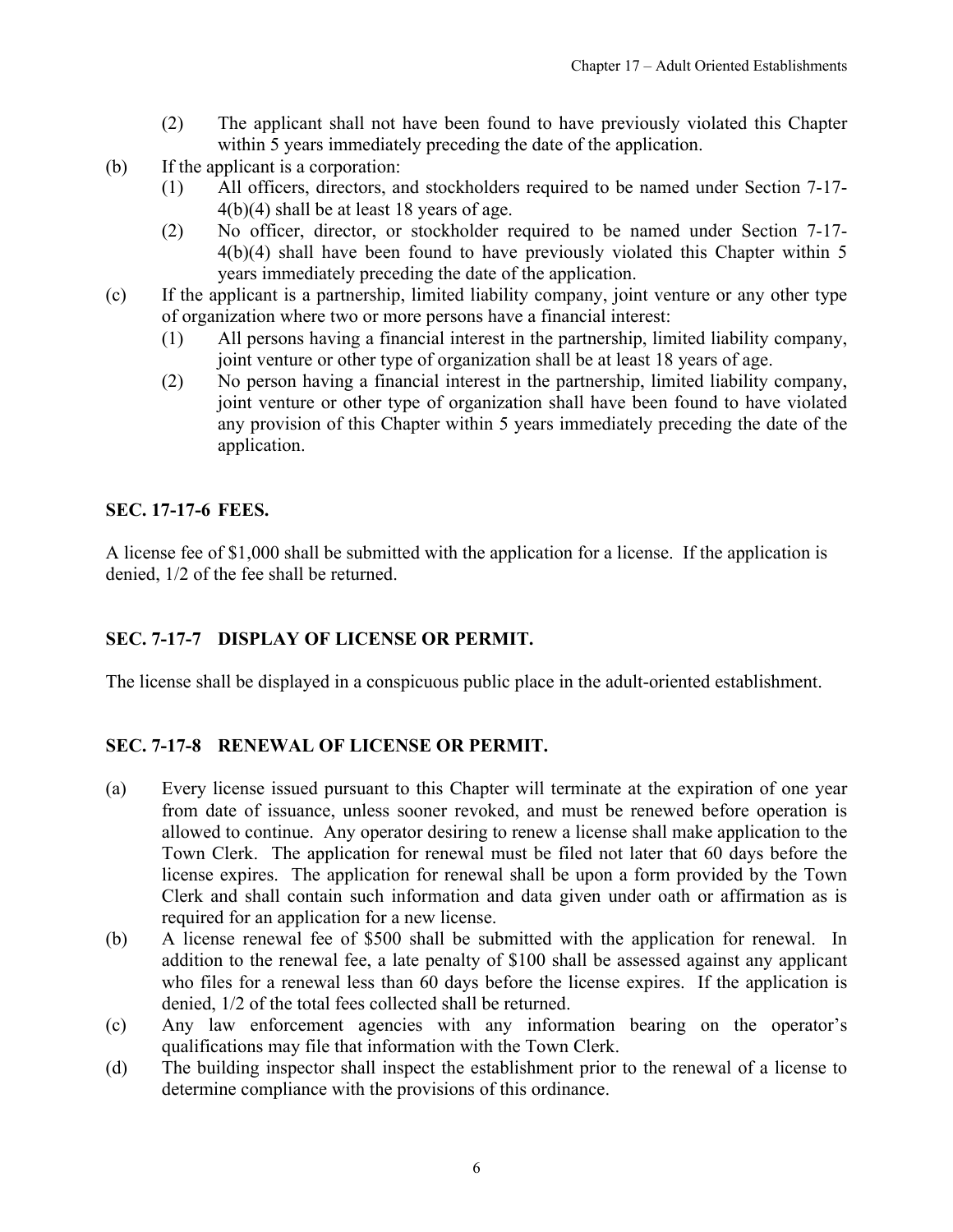- (2) The applicant shall not have been found to have previously violated this Chapter within 5 years immediately preceding the date of the application.
- <span id="page-5-0"></span>(b) If the applicant is a corporation:
	- (1) All officers, directors, and stockholders required to be named under Section 7-17- 4(b)(4) shall be at least 18 years of age.
	- (2) No officer, director, or stockholder required to be named under Section 7-17- 4(b)(4) shall have been found to have previously violated this Chapter within 5 years immediately preceding the date of the application.
- (c) If the applicant is a partnership, limited liability company, joint venture or any other type of organization where two or more persons have a financial interest:
	- (1) All persons having a financial interest in the partnership, limited liability company, joint venture or other type of organization shall be at least 18 years of age.
	- (2) No person having a financial interest in the partnership, limited liability company, joint venture or other type of organization shall have been found to have violated any provision of this Chapter within 5 years immediately preceding the date of the application.

#### **SEC. 17-17-6 FEES.**

A license fee of \$1,000 shall be submitted with the application for a license. If the application is denied, 1/2 of the fee shall be returned.

#### **SEC. 7-17-7 DISPLAY OF LICENSE OR PERMIT.**

The license shall be displayed in a conspicuous public place in the adult-oriented establishment.

#### **SEC. 7-17-8 RENEWAL OF LICENSE OR PERMIT.**

- (a) Every license issued pursuant to this Chapter will terminate at the expiration of one year from date of issuance, unless sooner revoked, and must be renewed before operation is allowed to continue. Any operator desiring to renew a license shall make application to the Town Clerk. The application for renewal must be filed not later that 60 days before the license expires. The application for renewal shall be upon a form provided by the Town Clerk and shall contain such information and data given under oath or affirmation as is required for an application for a new license.
- (b) A license renewal fee of \$500 shall be submitted with the application for renewal. In addition to the renewal fee, a late penalty of \$100 shall be assessed against any applicant who files for a renewal less than 60 days before the license expires. If the application is denied, 1/2 of the total fees collected shall be returned.
- (c) Any law enforcement agencies with any information bearing on the operator's qualifications may file that information with the Town Clerk.
- (d) The building inspector shall inspect the establishment prior to the renewal of a license to determine compliance with the provisions of this ordinance.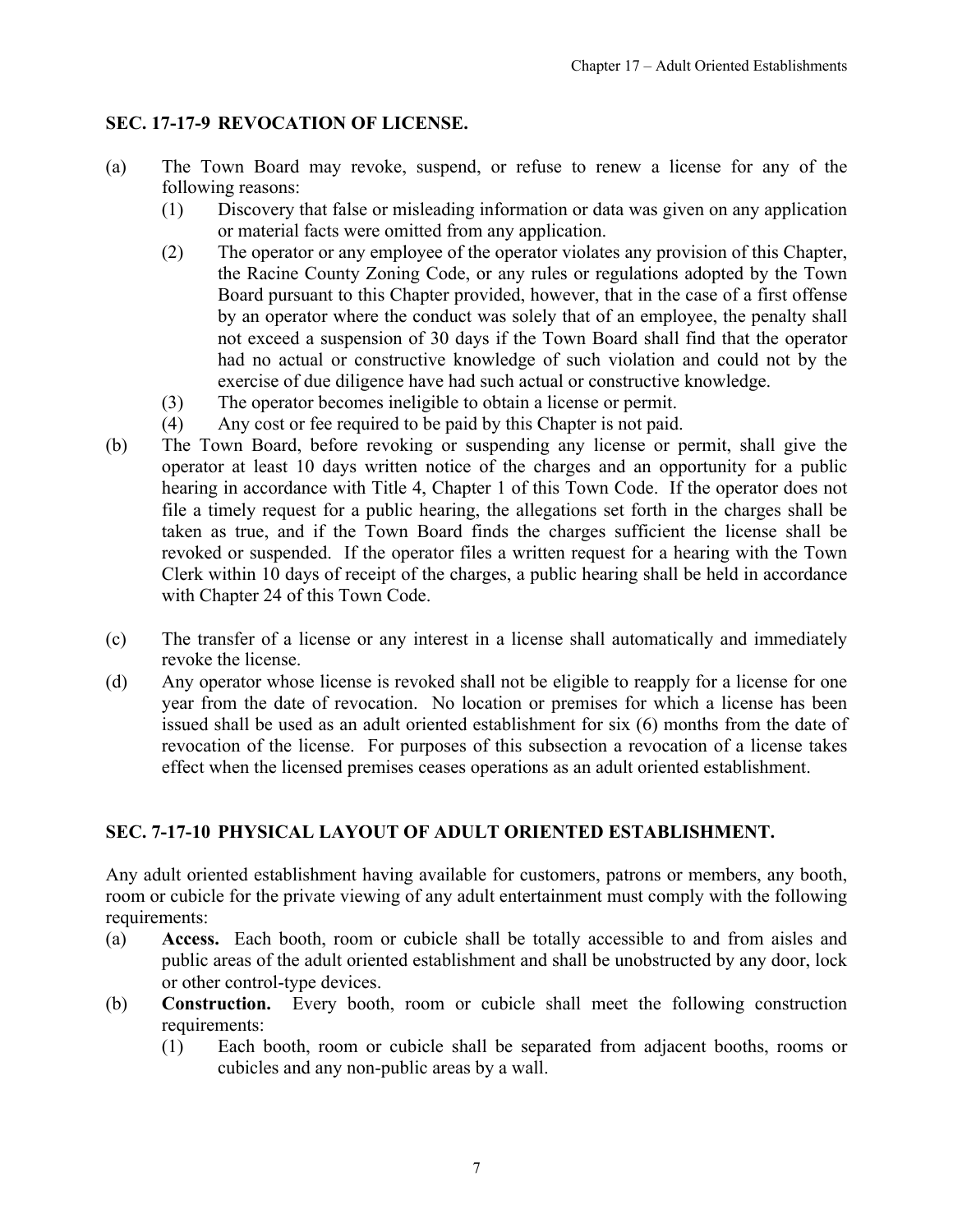# <span id="page-6-0"></span>**SEC. 17-17-9 REVOCATION OF LICENSE.**

- (a) The Town Board may revoke, suspend, or refuse to renew a license for any of the following reasons:
	- (1) Discovery that false or misleading information or data was given on any application or material facts were omitted from any application.
	- (2) The operator or any employee of the operator violates any provision of this Chapter, the Racine County Zoning Code, or any rules or regulations adopted by the Town Board pursuant to this Chapter provided, however, that in the case of a first offense by an operator where the conduct was solely that of an employee, the penalty shall not exceed a suspension of 30 days if the Town Board shall find that the operator had no actual or constructive knowledge of such violation and could not by the exercise of due diligence have had such actual or constructive knowledge.
	- (3) The operator becomes ineligible to obtain a license or permit.
	- (4) Any cost or fee required to be paid by this Chapter is not paid.
- (b) The Town Board, before revoking or suspending any license or permit, shall give the operator at least 10 days written notice of the charges and an opportunity for a public hearing in accordance with Title 4, Chapter 1 of this Town Code. If the operator does not file a timely request for a public hearing, the allegations set forth in the charges shall be taken as true, and if the Town Board finds the charges sufficient the license shall be revoked or suspended. If the operator files a written request for a hearing with the Town Clerk within 10 days of receipt of the charges, a public hearing shall be held in accordance with Chapter 24 of this Town Code.
- (c) The transfer of a license or any interest in a license shall automatically and immediately revoke the license.
- (d) Any operator whose license is revoked shall not be eligible to reapply for a license for one year from the date of revocation. No location or premises for which a license has been issued shall be used as an adult oriented establishment for six (6) months from the date of revocation of the license. For purposes of this subsection a revocation of a license takes effect when the licensed premises ceases operations as an adult oriented establishment.

# **SEC. 7-17-10 PHYSICAL LAYOUT OF ADULT ORIENTED ESTABLISHMENT.**

Any adult oriented establishment having available for customers, patrons or members, any booth, room or cubicle for the private viewing of any adult entertainment must comply with the following requirements:

- (a) **Access.** Each booth, room or cubicle shall be totally accessible to and from aisles and public areas of the adult oriented establishment and shall be unobstructed by any door, lock or other control-type devices.
- (b) **Construction.** Every booth, room or cubicle shall meet the following construction requirements:
	- (1) Each booth, room or cubicle shall be separated from adjacent booths, rooms or cubicles and any non-public areas by a wall.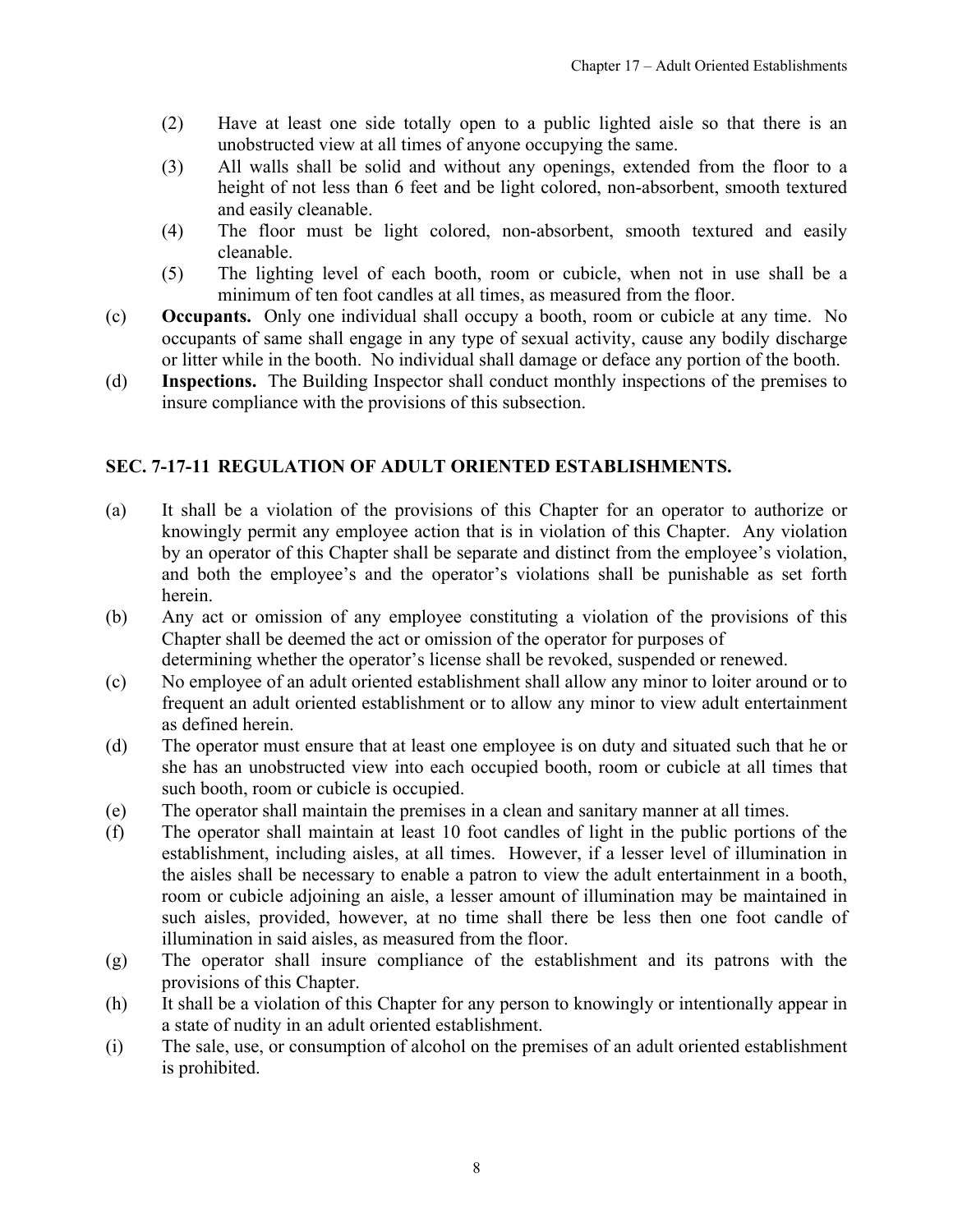- <span id="page-7-0"></span>(2) Have at least one side totally open to a public lighted aisle so that there is an unobstructed view at all times of anyone occupying the same.
- (3) All walls shall be solid and without any openings, extended from the floor to a height of not less than 6 feet and be light colored, non-absorbent, smooth textured and easily cleanable.
- (4) The floor must be light colored, non-absorbent, smooth textured and easily cleanable.
- (5) The lighting level of each booth, room or cubicle, when not in use shall be a minimum of ten foot candles at all times, as measured from the floor.
- (c) **Occupants.** Only one individual shall occupy a booth, room or cubicle at any time. No occupants of same shall engage in any type of sexual activity, cause any bodily discharge or litter while in the booth. No individual shall damage or deface any portion of the booth.
- (d) **Inspections.** The Building Inspector shall conduct monthly inspections of the premises to insure compliance with the provisions of this subsection.

### **SEC. 7-17-11 REGULATION OF ADULT ORIENTED ESTABLISHMENTS.**

- (a) It shall be a violation of the provisions of this Chapter for an operator to authorize or knowingly permit any employee action that is in violation of this Chapter. Any violation by an operator of this Chapter shall be separate and distinct from the employee's violation, and both the employee's and the operator's violations shall be punishable as set forth herein.
- (b) Any act or omission of any employee constituting a violation of the provisions of this Chapter shall be deemed the act or omission of the operator for purposes of
- determining whether the operator's license shall be revoked, suspended or renewed.
- (c) No employee of an adult oriented establishment shall allow any minor to loiter around or to frequent an adult oriented establishment or to allow any minor to view adult entertainment as defined herein.
- (d) The operator must ensure that at least one employee is on duty and situated such that he or she has an unobstructed view into each occupied booth, room or cubicle at all times that such booth, room or cubicle is occupied.
- (e) The operator shall maintain the premises in a clean and sanitary manner at all times.
- (f) The operator shall maintain at least 10 foot candles of light in the public portions of the establishment, including aisles, at all times. However, if a lesser level of illumination in the aisles shall be necessary to enable a patron to view the adult entertainment in a booth, room or cubicle adjoining an aisle, a lesser amount of illumination may be maintained in such aisles, provided, however, at no time shall there be less then one foot candle of illumination in said aisles, as measured from the floor.
- (g) The operator shall insure compliance of the establishment and its patrons with the provisions of this Chapter.
- (h) It shall be a violation of this Chapter for any person to knowingly or intentionally appear in a state of nudity in an adult oriented establishment.
- (i) The sale, use, or consumption of alcohol on the premises of an adult oriented establishment is prohibited.